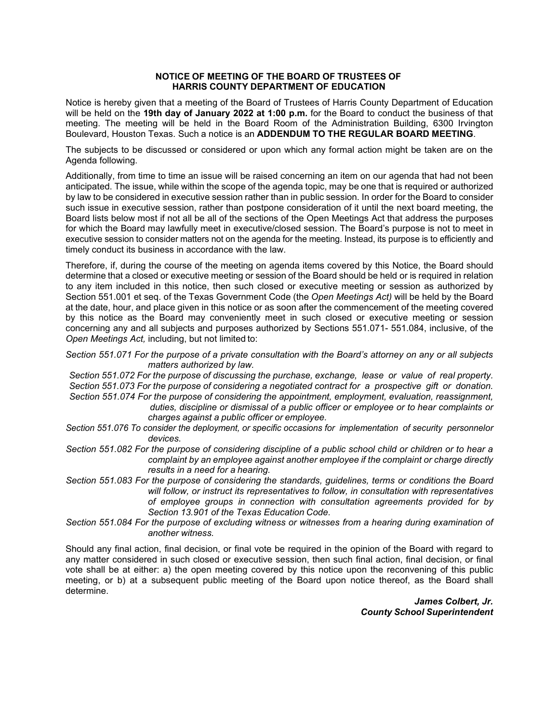### **NOTICE OF MEETING OF THE BOARD OF TRUSTEES OF HARRIS COUNTY DEPARTMENT OF EDUCATION**

Notice is hereby given that a meeting of the Board of Trustees of Harris County Department of Education will be held on the **19th day of January 2022 at 1:00 p.m.** for the Board to conduct the business of that meeting. The meeting will be held in the Board Room of the Administration Building, 6300 Irvington Boulevard, Houston Texas. Such a notice is an **ADDENDUM TO THE REGULAR BOARD MEETING**.

The subjects to be discussed or considered or upon which any formal action might be taken are on the Agenda following.

Additionally, from time to time an issue will be raised concerning an item on our agenda that had not been anticipated. The issue, while within the scope of the agenda topic, may be one that is required or authorized by law to be considered in executive session rather than in public session. In order for the Board to consider such issue in executive session, rather than postpone consideration of it until the next board meeting, the Board lists below most if not all be all of the sections of the Open Meetings Act that address the purposes for which the Board may lawfully meet in executive/closed session. The Board's purpose is not to meet in executive session to consider matters not on the agenda for the meeting. Instead, its purpose is to efficiently and timely conduct its business in accordance with the law.

Therefore, if, during the course of the meeting on agenda items covered by this Notice, the Board should determine that a closed or executive meeting or session of the Board should be held or is required in relation to any item included in this notice, then such closed or executive meeting or session as authorized by Section 551.001 et seq. of the Texas Government Code (the *Open Meetings Act)* will be held by the Board at the date, hour, and place given in this notice or as soon after the commencement of the meeting covered by this notice as the Board may conveniently meet in such closed or executive meeting or session concerning any and all subjects and purposes authorized by Sections 551.071- 551.084, inclusive, of the *Open Meetings Act,* including, but not limited to:

*Section 551.071 For the purpose of a private consultation with the Board's attorney on any or all subjects matters authorized by law.*

*Section 551.072 For the purpose of discussing the purchase, exchange, lease or value of real property. Section 551.073 For the purpose of considering a negotiated contract for a prospective gift or donation. Section 551.074 For the purpose of considering the appointment, employment, evaluation, reassignment, duties, discipline or dismissal of a public officer or employee or to hear complaints or*

*charges against a public officer or employee.*

- *Section 551.076 To consider the deployment, or specific occasions for implementation of security personnelor devices.*
- *Section 551.082 For the purpose of considering discipline of a public school child or children or to hear a complaint by an employee against another employee if the complaint or charge directly results in a need for a hearing.*
- *Section 551.083 For the purpose of considering the standards, guidelines, terms or conditions the Board will follow, or instruct its representatives to follow, in consultation with representatives of employee groups in connection with consultation agreements provided for by Section 13.901 of the Texas Education Code.*
- *Section 551.084 For the purpose of excluding witness or witnesses from a hearing during examination of another witness.*

Should any final action, final decision, or final vote be required in the opinion of the Board with regard to any matter considered in such closed or executive session, then such final action, final decision, or final vote shall be at either: a) the open meeting covered by this notice upon the reconvening of this public meeting, or b) at a subsequent public meeting of the Board upon notice thereof, as the Board shall determine.

> *James Colbert, Jr. County School Superintendent*